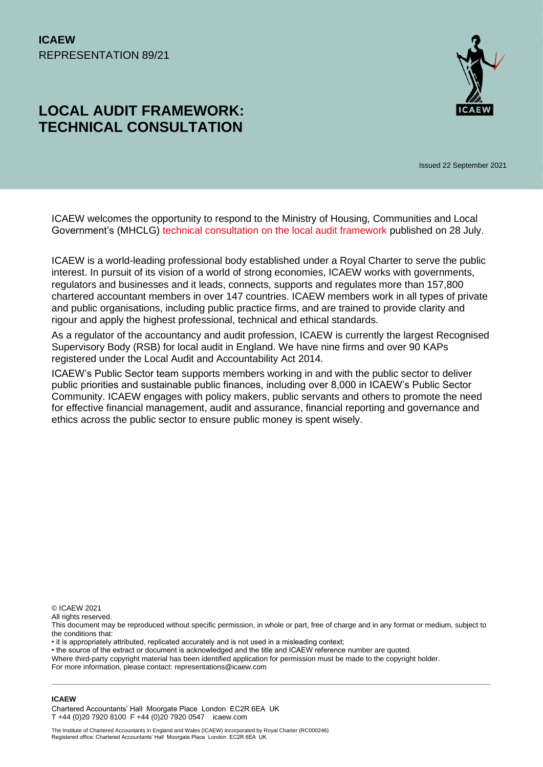# **LOCAL AUDIT FRAMEWORK: TECHNICAL CONSULTATION**



Issued 22 September 2021

ICAEW welcomes the opportunity to respond to the Ministry of Housing, Communities and Local Government's (MHCLG) [technical consultation on the local audit framework](https://www.gov.uk/government/consultations/local-audit-framework-technical-consultation/local-audit-framework-technical-consultation) published on 28 July.

ICAEW is a world-leading professional body established under a Royal Charter to serve the public interest. In pursuit of its vision of a world of strong economies, ICAEW works with governments, regulators and businesses and it leads, connects, supports and regulates more than 157,800 chartered accountant members in over 147 countries. ICAEW members work in all types of private and public organisations, including public practice firms, and are trained to provide clarity and rigour and apply the highest professional, technical and ethical standards.

As a regulator of the accountancy and audit profession, ICAEW is currently the largest Recognised Supervisory Body (RSB) for local audit in England. We have nine firms and over 90 KAPs registered under the Local Audit and Accountability Act 2014.

ICAEW's Public Sector team supports members working in and with the public sector to deliver public priorities and sustainable public finances, including over 8,000 in ICAEW's Public Sector Community. ICAEW engages with policy makers, public servants and others to promote the need for effective financial management, audit and assurance, financial reporting and governance and ethics across the public sector to ensure public money is spent wisely.

© ICAEW 2021

All rights reserved.

This document may be reproduced without specific permission, in whole or part, free of charge and in any format or medium, subject to the conditions that:

• it is appropriately attributed, replicated accurately and is not used in a misleading context;

• the source of the extract or document is acknowledged and the title and ICAEW reference number are quoted.

Where third-party copyright material has been identified application for permission must be made to the copyright holder.

For more information, please contact: representations@icaew.com

#### **ICAEW**

Chartered Accountants' Hall Moorgate Place London EC2R 6EA UK T +44 (0)20 7920 8100 F +44 (0)20 7920 0547 icaew.com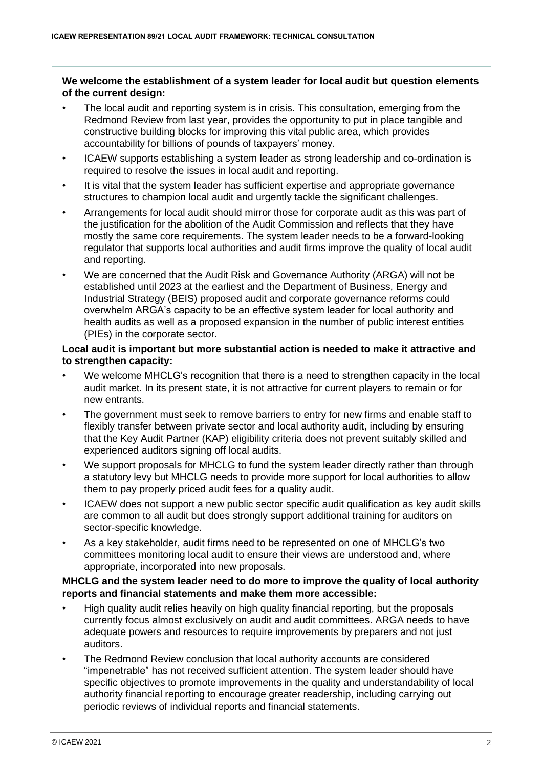#### **We welcome the establishment of a system leader for local audit but question elements of the current design:**

- The local audit and reporting system is in crisis. This consultation, emerging from the Redmond Review from last year, provides the opportunity to put in place tangible and constructive building blocks for improving this vital public area, which provides accountability for billions of pounds of taxpayers' money.
- ICAEW supports establishing a system leader as strong leadership and co-ordination is required to resolve the issues in local audit and reporting.
- It is vital that the system leader has sufficient expertise and appropriate governance structures to champion local audit and urgently tackle the significant challenges.
- Arrangements for local audit should mirror those for corporate audit as this was part of the justification for the abolition of the Audit Commission and reflects that they have mostly the same core requirements. The system leader needs to be a forward-looking regulator that supports local authorities and audit firms improve the quality of local audit and reporting.
- We are concerned that the Audit Risk and Governance Authority (ARGA) will not be established until 2023 at the earliest and the Department of Business, Energy and Industrial Strategy (BEIS) proposed audit and corporate governance reforms could overwhelm ARGA's capacity to be an effective system leader for local authority and health audits as well as a proposed expansion in the number of public interest entities (PIEs) in the corporate sector.

#### **Local audit is important but more substantial action is needed to make it attractive and to strengthen capacity:**

- We welcome MHCLG's recognition that there is a need to strengthen capacity in the local audit market. In its present state, it is not attractive for current players to remain or for new entrants.
- The government must seek to remove barriers to entry for new firms and enable staff to flexibly transfer between private sector and local authority audit, including by ensuring that the Key Audit Partner (KAP) eligibility criteria does not prevent suitably skilled and experienced auditors signing off local audits.
- We support proposals for MHCLG to fund the system leader directly rather than through a statutory levy but MHCLG needs to provide more support for local authorities to allow them to pay properly priced audit fees for a quality audit.
- ICAEW does not support a new public sector specific audit qualification as key audit skills are common to all audit but does strongly support additional training for auditors on sector-specific knowledge.
- As a key stakeholder, audit firms need to be represented on one of MHCLG's two committees monitoring local audit to ensure their views are understood and, where appropriate, incorporated into new proposals.

#### **MHCLG and the system leader need to do more to improve the quality of local authority reports and financial statements and make them more accessible:**

- High quality audit relies heavily on high quality financial reporting, but the proposals currently focus almost exclusively on audit and audit committees. ARGA needs to have adequate powers and resources to require improvements by preparers and not just auditors.
- The Redmond Review conclusion that local authority accounts are considered "impenetrable" has not received sufficient attention. The system leader should have specific objectives to promote improvements in the quality and understandability of local authority financial reporting to encourage greater readership, including carrying out periodic reviews of individual reports and financial statements.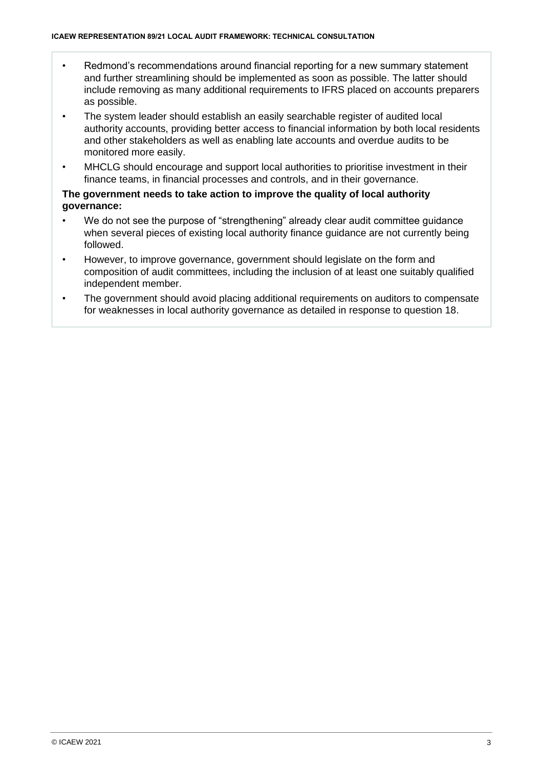- Redmond's recommendations around financial reporting for a new summary statement and further streamlining should be implemented as soon as possible. The latter should include removing as many additional requirements to IFRS placed on accounts preparers as possible.
- The system leader should establish an easily searchable register of audited local authority accounts, providing better access to financial information by both local residents and other stakeholders as well as enabling late accounts and overdue audits to be monitored more easily.
- MHCLG should encourage and support local authorities to prioritise investment in their finance teams, in financial processes and controls, and in their governance.

#### **The government needs to take action to improve the quality of local authority governance:**

- We do not see the purpose of "strengthening" already clear audit committee guidance when several pieces of existing local authority finance guidance are not currently being followed.
- However, to improve governance, government should legislate on the form and composition of audit committees, including the inclusion of at least one suitably qualified independent member.
- The government should avoid placing additional requirements on auditors to compensate for weaknesses in local authority governance as detailed in response to question 18.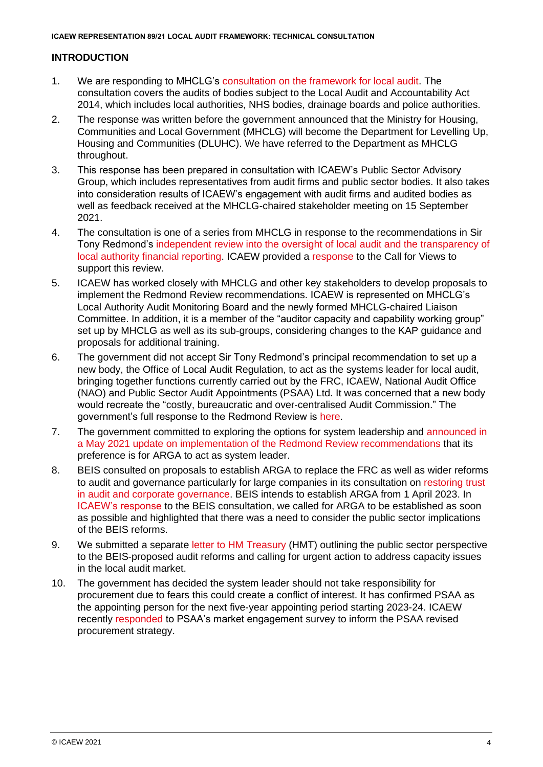#### **INTRODUCTION**

- 1. We are responding to MHCLG's [consultation on the framework for local audit.](https://www.gov.uk/government/consultations/local-audit-framework-technical-consultation/local-audit-framework-technical-consultation) The consultation covers the audits of bodies subject to the Local Audit and Accountability Act 2014, which includes local authorities, NHS bodies, drainage boards and police authorities.
- 2. The response was written before the government announced that the Ministry for Housing, Communities and Local Government (MHCLG) will become the Department for Levelling Up, Housing and Communities (DLUHC). We have referred to the Department as MHCLG throughout.
- 3. This response has been prepared in consultation with ICAEW's Public Sector Advisory Group, which includes representatives from audit firms and public sector bodies. It also takes into consideration results of ICAEW's engagement with audit firms and audited bodies as well as feedback received at the MHCLG-chaired stakeholder meeting on 15 September 2021.
- 4. The consultation is one of a series from MHCLG in response to the recommendations in Sir Tony Redmond's [independent review into the oversight of local audit and the transparency of](https://assets.publishing.service.gov.uk/government/uploads/system/uploads/attachment_data/file/916217/Redmond_Review.pdf)  [local authority financial reporting.](https://assets.publishing.service.gov.uk/government/uploads/system/uploads/attachment_data/file/916217/Redmond_Review.pdf) ICAEW provided a [response](https://www.icaew.com/-/media/corporate/files/technical/icaew-representations/2019/icaew-rep-128-19-redmond-review-on-lg-financial-reporting-and-external-audit-in-england.ashx) to the Call for Views to support this review.
- 5. ICAEW has worked closely with MHCLG and other key stakeholders to develop proposals to implement the Redmond Review recommendations. ICAEW is represented on MHCLG's Local Authority Audit Monitoring Board and the newly formed MHCLG-chaired Liaison Committee. In addition, it is a member of the "auditor capacity and capability working group" set up by MHCLG as well as its sub-groups, considering changes to the KAP guidance and proposals for additional training.
- 6. The government did not accept Sir Tony Redmond's principal recommendation to set up a new body, the Office of Local Audit Regulation, to act as the systems leader for local audit, bringing together functions currently carried out by the FRC, ICAEW, National Audit Office (NAO) and Public Sector Audit Appointments (PSAA) Ltd. It was concerned that a new body would recreate the "costly, bureaucratic and over-centralised Audit Commission." The government's full response to the Redmond Review is [here.](https://www.gov.uk/government/publications/local-authority-financial-reporting-and-external-audit-government-response-to-the-redmond-review/local-authority-financial-reporting-and-external-audit-government-response-to-the-independent-review)
- 7. The government committed to exploring the options for system leadership and [announced in](https://www.gov.uk/government/publications/local-authority-financial-reporting-and-external-audit-spring-update/local-authority-financial-reporting-and-external-audit-spring-update) a May 2021 update on implementation of the [Redmond Review recommendations](https://www.gov.uk/government/publications/local-authority-financial-reporting-and-external-audit-spring-update/local-authority-financial-reporting-and-external-audit-spring-update) that its preference is for ARGA to act as system leader.
- 8. BEIS consulted on proposals to establish ARGA to replace the FRC as well as wider reforms to audit and governance particularly for large companies in its consultation on [restoring trust](https://assets.publishing.service.gov.uk/government/uploads/system/uploads/attachment_data/file/970676/restoring-trust-in-audit-and-corporate-governance-command-paper.pdf)  [in audit and corporate governance.](https://assets.publishing.service.gov.uk/government/uploads/system/uploads/attachment_data/file/970676/restoring-trust-in-audit-and-corporate-governance-command-paper.pdf) BEIS intends to establish ARGA from 1 April 2023. In [ICAEW's response](https://www.icaew.com/-/media/corporate/files/technical/icaew-representations/2021/icaew-rep-6321-restoring-trust-in-audit-and-corporate-governance.ashx) to the BEIS consultation, we called for ARGA to be established as soon as possible and highlighted that there was a need to consider the public sector implications of the BEIS reforms.
- 9. We submitted a separate [letter to HM](https://www.icaew.com/-/media/corporate/files/technical/icaew-representations/2021/icaew-rep-6921-letter-on-public-sector-implications-of-audit-reforms.ashx) Treasury (HMT) outlining the public sector perspective to the BEIS-proposed audit reforms and calling for urgent action to address capacity issues in the local audit market.
- 10. The government has decided the system leader should not take responsibility for procurement due to fears this could create a conflict of interest. It has confirmed PSAA as the appointing person for the next five-year appointing period starting 2023-24. ICAEW recently [responded](https://www.icaew.com/-/media/corporate/files/technical/icaew-representations/2021/icaew-rep-6421-market-engagement-survey-on-the-procurement-strategy-for-local-authority-auditors-for.ashx) to PSAA's market engagement survey to inform the PSAA revised procurement strategy.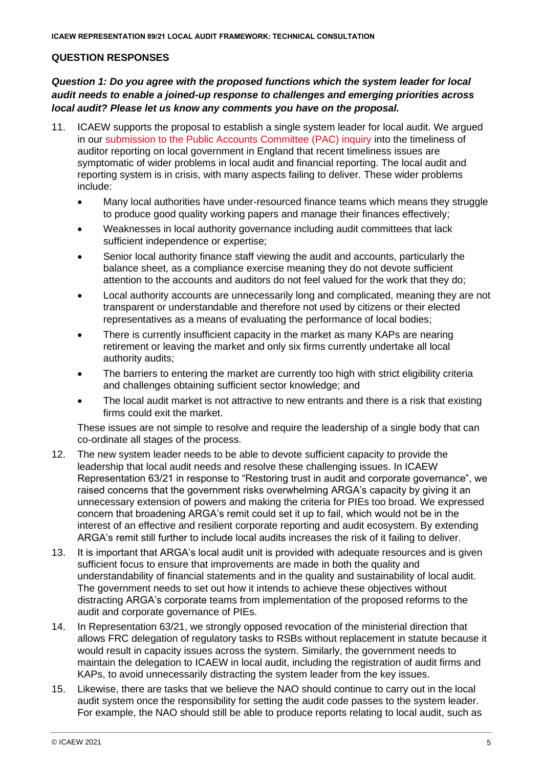#### **QUESTION RESPONSES**

# *Question 1: Do you agree with the proposed functions which the system leader for local audit needs to enable a joined-up response to challenges and emerging priorities across local audit? Please let us know any comments you have on the proposal.*

- 11. ICAEW supports the proposal to establish a single system leader for local audit. We argued in our [submission to the Public Accounts Committee](https://www.icaew.com/-/media/corporate/files/technical/icaew-representations/2021/icaew-rep-51-21-timeliness-of-auditor-reporting-on-local-government-in-england.ashx) (PAC) inquiry into the timeliness of auditor reporting on local government in England that recent timeliness issues are symptomatic of wider problems in local audit and financial reporting. The local audit and reporting system is in crisis, with many aspects failing to deliver. These wider problems include:
	- Many local authorities have under-resourced finance teams which means they struggle to produce good quality working papers and manage their finances effectively;
	- Weaknesses in local authority governance including audit committees that lack sufficient independence or expertise;
	- Senior local authority finance staff viewing the audit and accounts, particularly the balance sheet, as a compliance exercise meaning they do not devote sufficient attention to the accounts and auditors do not feel valued for the work that they do;
	- Local authority accounts are unnecessarily long and complicated, meaning they are not transparent or understandable and therefore not used by citizens or their elected representatives as a means of evaluating the performance of local bodies;
	- There is currently insufficient capacity in the market as many KAPs are nearing retirement or leaving the market and only six firms currently undertake all local authority audits;
	- The barriers to entering the market are currently too high with strict eligibility criteria and challenges obtaining sufficient sector knowledge; and
	- The local audit market is not attractive to new entrants and there is a risk that existing firms could exit the market.

These issues are not simple to resolve and require the leadership of a single body that can co-ordinate all stages of the process.

- 12. The new system leader needs to be able to devote sufficient capacity to provide the leadership that local audit needs and resolve these challenging issues. In ICAEW Representation 63/21 in response to "Restoring trust in audit and corporate governance", we raised concerns that the government risks overwhelming ARGA's capacity by giving it an unnecessary extension of powers and making the criteria for PIEs too broad. We expressed concern that broadening ARGA's remit could set it up to fail, which would not be in the interest of an effective and resilient corporate reporting and audit ecosystem. By extending ARGA's remit still further to include local audits increases the risk of it failing to deliver.
- 13. It is important that ARGA's local audit unit is provided with adequate resources and is given sufficient focus to ensure that improvements are made in both the quality and understandability of financial statements and in the quality and sustainability of local audit. The government needs to set out how it intends to achieve these objectives without distracting ARGA's corporate teams from implementation of the proposed reforms to the audit and corporate governance of PIEs.
- 14. In Representation 63/21, we strongly opposed revocation of the ministerial direction that allows FRC delegation of regulatory tasks to RSBs without replacement in statute because it would result in capacity issues across the system. Similarly, the government needs to maintain the delegation to ICAEW in local audit, including the registration of audit firms and KAPs, to avoid unnecessarily distracting the system leader from the key issues.
- 15. Likewise, there are tasks that we believe the NAO should continue to carry out in the local audit system once the responsibility for setting the audit code passes to the system leader. For example, the NAO should still be able to produce reports relating to local audit, such as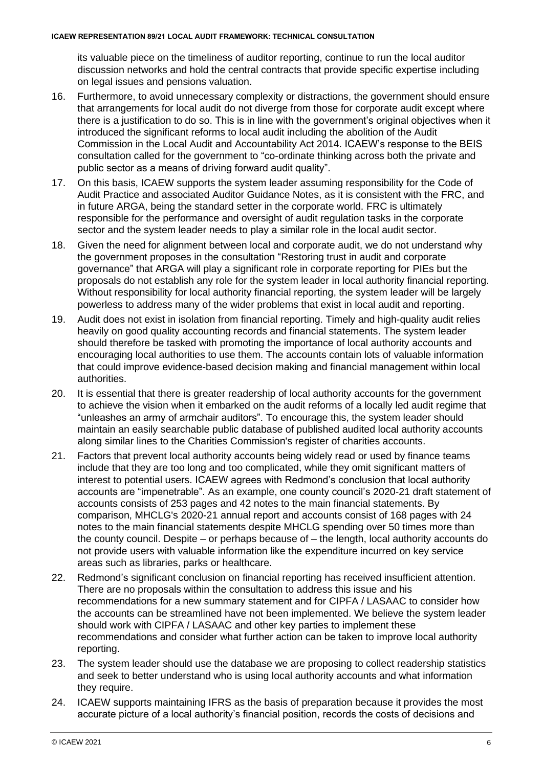its valuable piece on the timeliness of auditor reporting, continue to run the local auditor discussion networks and hold the central contracts that provide specific expertise including on legal issues and pensions valuation.

- 16. Furthermore, to avoid unnecessary complexity or distractions, the government should ensure that arrangements for local audit do not diverge from those for corporate audit except where there is a justification to do so. This is in line with the government's original objectives when it introduced the significant reforms to local audit including the abolition of the Audit Commission in the Local Audit and Accountability Act 2014. ICAEW's response to the BEIS consultation called for the government to "co-ordinate thinking across both the private and public sector as a means of driving forward audit quality".
- 17. On this basis, ICAEW supports the system leader assuming responsibility for the Code of Audit Practice and associated Auditor Guidance Notes, as it is consistent with the FRC, and in future ARGA, being the standard setter in the corporate world. FRC is ultimately responsible for the performance and oversight of audit regulation tasks in the corporate sector and the system leader needs to play a similar role in the local audit sector.
- 18. Given the need for alignment between local and corporate audit, we do not understand why the government proposes in the consultation "Restoring trust in audit and corporate governance" that ARGA will play a significant role in corporate reporting for PIEs but the proposals do not establish any role for the system leader in local authority financial reporting. Without responsibility for local authority financial reporting, the system leader will be largely powerless to address many of the wider problems that exist in local audit and reporting.
- 19. Audit does not exist in isolation from financial reporting. Timely and high-quality audit relies heavily on good quality accounting records and financial statements. The system leader should therefore be tasked with promoting the importance of local authority accounts and encouraging local authorities to use them. The accounts contain lots of valuable information that could improve evidence-based decision making and financial management within local authorities.
- 20. It is essential that there is greater readership of local authority accounts for the government to achieve the vision when it embarked on the audit reforms of a locally led audit regime that "unleashes an army of armchair auditors". To encourage this, the system leader should maintain an easily searchable public database of published audited local authority accounts along similar lines to the Charities Commission's register of charities accounts.
- 21. Factors that prevent local authority accounts being widely read or used by finance teams include that they are too long and too complicated, while they omit significant matters of interest to potential users. ICAEW agrees with Redmond's conclusion that local authority accounts are "impenetrable". As an example, one county council's 2020-21 draft statement of accounts consists of 253 pages and 42 notes to the main financial statements. By comparison, MHCLG's 2020-21 annual report and accounts consist of 168 pages with 24 notes to the main financial statements despite MHCLG spending over 50 times more than the county council. Despite – or perhaps because of – the length, local authority accounts do not provide users with valuable information like the expenditure incurred on key service areas such as libraries, parks or healthcare.
- 22. Redmond's significant conclusion on financial reporting has received insufficient attention. There are no proposals within the consultation to address this issue and his recommendations for a new summary statement and for CIPFA / LASAAC to consider how the accounts can be streamlined have not been implemented. We believe the system leader should work with CIPFA / LASAAC and other key parties to implement these recommendations and consider what further action can be taken to improve local authority reporting.
- 23. The system leader should use the database we are proposing to collect readership statistics and seek to better understand who is using local authority accounts and what information they require.
- 24. ICAEW supports maintaining IFRS as the basis of preparation because it provides the most accurate picture of a local authority's financial position, records the costs of decisions and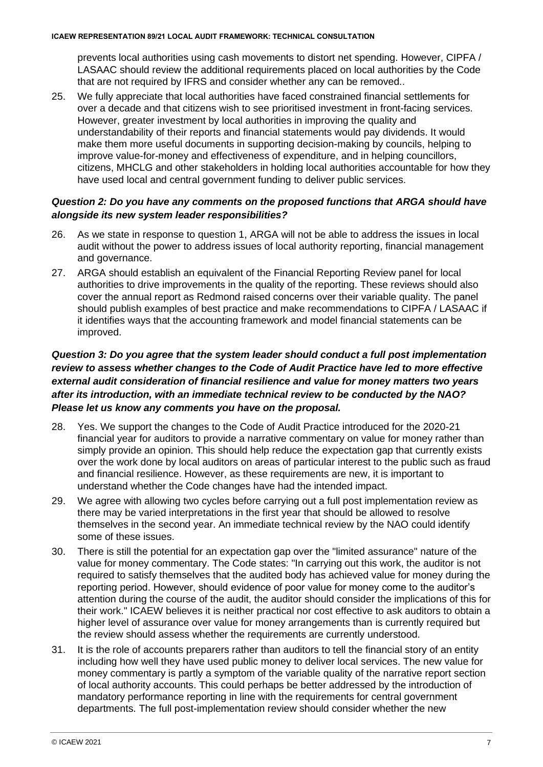prevents local authorities using cash movements to distort net spending. However, CIPFA / LASAAC should review the additional requirements placed on local authorities by the Code that are not required by IFRS and consider whether any can be removed..

25. We fully appreciate that local authorities have faced constrained financial settlements for over a decade and that citizens wish to see prioritised investment in front-facing services. However, greater investment by local authorities in improving the quality and understandability of their reports and financial statements would pay dividends. It would make them more useful documents in supporting decision-making by councils, helping to improve value-for-money and effectiveness of expenditure, and in helping councillors, citizens, MHCLG and other stakeholders in holding local authorities accountable for how they have used local and central government funding to deliver public services.

## *Question 2: Do you have any comments on the proposed functions that ARGA should have alongside its new system leader responsibilities?*

- 26. As we state in response to question 1, ARGA will not be able to address the issues in local audit without the power to address issues of local authority reporting, financial management and governance.
- 27. ARGA should establish an equivalent of the Financial Reporting Review panel for local authorities to drive improvements in the quality of the reporting. These reviews should also cover the annual report as Redmond raised concerns over their variable quality. The panel should publish examples of best practice and make recommendations to CIPFA / LASAAC if it identifies ways that the accounting framework and model financial statements can be improved.

# *Question 3: Do you agree that the system leader should conduct a full post implementation review to assess whether changes to the Code of Audit Practice have led to more effective external audit consideration of financial resilience and value for money matters two years after its introduction, with an immediate technical review to be conducted by the NAO? Please let us know any comments you have on the proposal.*

- 28. Yes. We support the changes to the Code of Audit Practice introduced for the 2020-21 financial year for auditors to provide a narrative commentary on value for money rather than simply provide an opinion. This should help reduce the expectation gap that currently exists over the work done by local auditors on areas of particular interest to the public such as fraud and financial resilience. However, as these requirements are new, it is important to understand whether the Code changes have had the intended impact.
- 29. We agree with allowing two cycles before carrying out a full post implementation review as there may be varied interpretations in the first year that should be allowed to resolve themselves in the second year. An immediate technical review by the NAO could identify some of these issues.
- 30. There is still the potential for an expectation gap over the "limited assurance" nature of the value for money commentary. The Code states: "In carrying out this work, the auditor is not required to satisfy themselves that the audited body has achieved value for money during the reporting period. However, should evidence of poor value for money come to the auditor's attention during the course of the audit, the auditor should consider the implications of this for their work." ICAEW believes it is neither practical nor cost effective to ask auditors to obtain a higher level of assurance over value for money arrangements than is currently required but the review should assess whether the requirements are currently understood.
- 31. It is the role of accounts preparers rather than auditors to tell the financial story of an entity including how well they have used public money to deliver local services. The new value for money commentary is partly a symptom of the variable quality of the narrative report section of local authority accounts. This could perhaps be better addressed by the introduction of mandatory performance reporting in line with the requirements for central government departments. The full post-implementation review should consider whether the new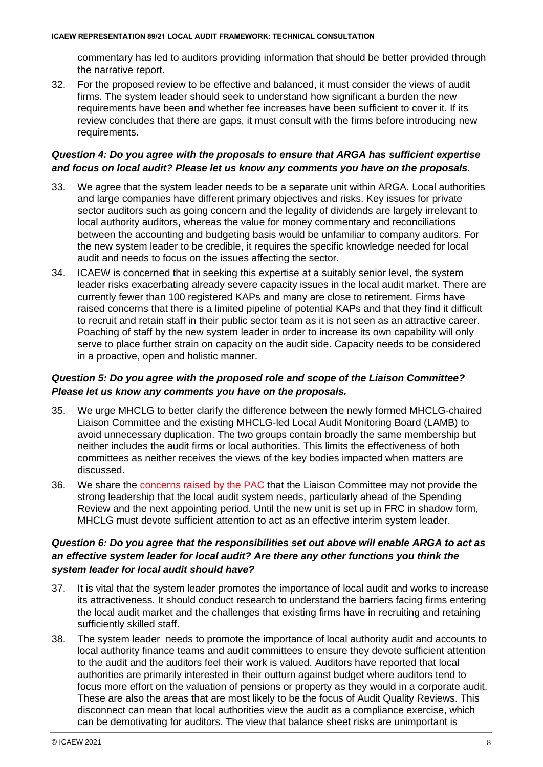commentary has led to auditors providing information that should be better provided through the narrative report.

32. For the proposed review to be effective and balanced, it must consider the views of audit firms. The system leader should seek to understand how significant a burden the new requirements have been and whether fee increases have been sufficient to cover it. If its review concludes that there are gaps, it must consult with the firms before introducing new requirements.

# *Question 4: Do you agree with the proposals to ensure that ARGA has sufficient expertise and focus on local audit? Please let us know any comments you have on the proposals.*

- 33. We agree that the system leader needs to be a separate unit within ARGA. Local authorities and large companies have different primary objectives and risks. Key issues for private sector auditors such as going concern and the legality of dividends are largely irrelevant to local authority auditors, whereas the value for money commentary and reconciliations between the accounting and budgeting basis would be unfamiliar to company auditors. For the new system leader to be credible, it requires the specific knowledge needed for local audit and needs to focus on the issues affecting the sector.
- 34. ICAEW is concerned that in seeking this expertise at a suitably senior level, the system leader risks exacerbating already severe capacity issues in the local audit market. There are currently fewer than 100 registered KAPs and many are close to retirement. Firms have raised concerns that there is a limited pipeline of potential KAPs and that they find it difficult to recruit and retain staff in their public sector team as it is not seen as an attractive career. Poaching of staff by the new system leader in order to increase its own capability will only serve to place further strain on capacity on the audit side. Capacity needs to be considered in a proactive, open and holistic manner.

## *Question 5: Do you agree with the proposed role and scope of the Liaison Committee? Please let us know any comments you have on the proposals.*

- 35. We urge MHCLG to better clarify the difference between the newly formed MHCLG-chaired Liaison Committee and the existing MHCLG-led Local Audit Monitoring Board (LAMB) to avoid unnecessary duplication. The two groups contain broadly the same membership but neither includes the audit firms or local authorities. This limits the effectiveness of both committees as neither receives the views of the key bodies impacted when matters are discussed.
- 36. We share the [concerns raised by the](https://committees.parliament.uk/committee/127/public-accounts-committee/news/156536/system-of-local-government-audit-close-to-breaking-point/) PAC that the Liaison Committee may not provide the strong leadership that the local audit system needs, particularly ahead of the Spending Review and the next appointing period. Until the new unit is set up in FRC in shadow form, MHCLG must devote sufficient attention to act as an effective interim system leader.

# *Question 6: Do you agree that the responsibilities set out above will enable ARGA to act as an effective system leader for local audit? Are there any other functions you think the system leader for local audit should have?*

- 37. It is vital that the system leader promotes the importance of local audit and works to increase its attractiveness. It should conduct research to understand the barriers facing firms entering the local audit market and the challenges that existing firms have in recruiting and retaining sufficiently skilled staff.
- 38. The system leader needs to promote the importance of local authority audit and accounts to local authority finance teams and audit committees to ensure they devote sufficient attention to the audit and the auditors feel their work is valued. Auditors have reported that local authorities are primarily interested in their outturn against budget where auditors tend to focus more effort on the valuation of pensions or property as they would in a corporate audit. These are also the areas that are most likely to be the focus of Audit Quality Reviews. This disconnect can mean that local authorities view the audit as a compliance exercise, which can be demotivating for auditors. The view that balance sheet risks are unimportant is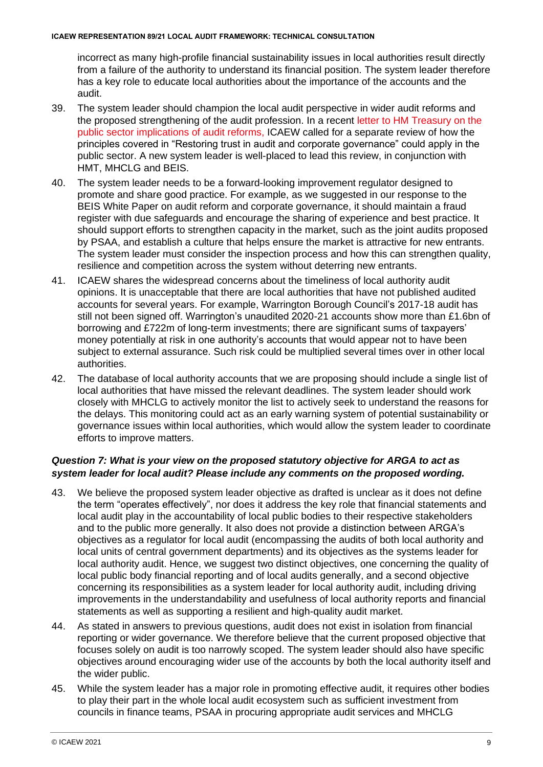incorrect as many high-profile financial sustainability issues in local authorities result directly from a failure of the authority to understand its financial position. The system leader therefore has a key role to educate local authorities about the importance of the accounts and the audit.

- 39. The system leader should champion the local audit perspective in wider audit reforms and the proposed strengthening of the audit profession. In a recent [letter to HM Treasury on the](https://www.icaew.com/-/media/corporate/files/technical/icaew-representations/2021/icaew-rep-6921-letter-on-public-sector-implications-of-audit-reforms.ashx)  [public sector implications of audit reforms,](https://www.icaew.com/-/media/corporate/files/technical/icaew-representations/2021/icaew-rep-6921-letter-on-public-sector-implications-of-audit-reforms.ashx) ICAEW called for a separate review of how the principles covered in "Restoring trust in audit and corporate governance" could apply in the public sector. A new system leader is well-placed to lead this review, in conjunction with HMT, MHCLG and BEIS.
- 40. The system leader needs to be a forward-looking improvement regulator designed to promote and share good practice. For example, as we suggested in our response to the BEIS White Paper on audit reform and corporate governance, it should maintain a fraud register with due safeguards and encourage the sharing of experience and best practice. It should support efforts to strengthen capacity in the market, such as the joint audits proposed by PSAA, and establish a culture that helps ensure the market is attractive for new entrants. The system leader must consider the inspection process and how this can strengthen quality, resilience and competition across the system without deterring new entrants.
- 41. ICAEW shares the widespread concerns about the timeliness of local authority audit opinions. It is unacceptable that there are local authorities that have not published audited accounts for several years. For example, Warrington Borough Council's 2017-18 audit has still not been signed off. Warrington's unaudited 2020-21 accounts show more than £1.6bn of borrowing and £722m of long-term investments; there are significant sums of taxpayers' money potentially at risk in one authority's accounts that would appear not to have been subject to external assurance. Such risk could be multiplied several times over in other local authorities.
- 42. The database of local authority accounts that we are proposing should include a single list of local authorities that have missed the relevant deadlines. The system leader should work closely with MHCLG to actively monitor the list to actively seek to understand the reasons for the delays. This monitoring could act as an early warning system of potential sustainability or governance issues within local authorities, which would allow the system leader to coordinate efforts to improve matters.

# *Question 7: What is your view on the proposed statutory objective for ARGA to act as system leader for local audit? Please include any comments on the proposed wording.*

- 43. We believe the proposed system leader objective as drafted is unclear as it does not define the term "operates effectively", nor does it address the key role that financial statements and local audit play in the accountability of local public bodies to their respective stakeholders and to the public more generally. It also does not provide a distinction between ARGA's objectives as a regulator for local audit (encompassing the audits of both local authority and local units of central government departments) and its objectives as the systems leader for local authority audit. Hence, we suggest two distinct objectives, one concerning the quality of local public body financial reporting and of local audits generally, and a second objective concerning its responsibilities as a system leader for local authority audit, including driving improvements in the understandability and usefulness of local authority reports and financial statements as well as supporting a resilient and high-quality audit market.
- 44. As stated in answers to previous questions, audit does not exist in isolation from financial reporting or wider governance. We therefore believe that the current proposed objective that focuses solely on audit is too narrowly scoped. The system leader should also have specific objectives around encouraging wider use of the accounts by both the local authority itself and the wider public.
- 45. While the system leader has a major role in promoting effective audit, it requires other bodies to play their part in the whole local audit ecosystem such as sufficient investment from councils in finance teams, PSAA in procuring appropriate audit services and MHCLG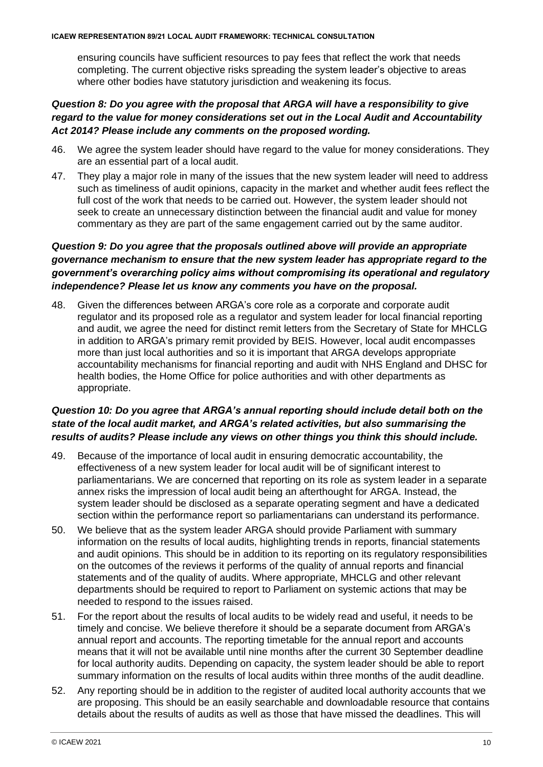ensuring councils have sufficient resources to pay fees that reflect the work that needs completing. The current objective risks spreading the system leader's objective to areas where other bodies have statutory jurisdiction and weakening its focus.

# *Question 8: Do you agree with the proposal that ARGA will have a responsibility to give regard to the value for money considerations set out in the Local Audit and Accountability Act 2014? Please include any comments on the proposed wording.*

- 46. We agree the system leader should have regard to the value for money considerations. They are an essential part of a local audit.
- 47. They play a major role in many of the issues that the new system leader will need to address such as timeliness of audit opinions, capacity in the market and whether audit fees reflect the full cost of the work that needs to be carried out. However, the system leader should not seek to create an unnecessary distinction between the financial audit and value for money commentary as they are part of the same engagement carried out by the same auditor.

# *Question 9: Do you agree that the proposals outlined above will provide an appropriate governance mechanism to ensure that the new system leader has appropriate regard to the government's overarching policy aims without compromising its operational and regulatory independence? Please let us know any comments you have on the proposal.*

48. Given the differences between ARGA's core role as a corporate and corporate audit regulator and its proposed role as a regulator and system leader for local financial reporting and audit, we agree the need for distinct remit letters from the Secretary of State for MHCLG in addition to ARGA's primary remit provided by BEIS. However, local audit encompasses more than just local authorities and so it is important that ARGA develops appropriate accountability mechanisms for financial reporting and audit with NHS England and DHSC for health bodies, the Home Office for police authorities and with other departments as appropriate.

# *Question 10: Do you agree that ARGA's annual reporting should include detail both on the state of the local audit market, and ARGA's related activities, but also summarising the results of audits? Please include any views on other things you think this should include.*

- 49. Because of the importance of local audit in ensuring democratic accountability, the effectiveness of a new system leader for local audit will be of significant interest to parliamentarians. We are concerned that reporting on its role as system leader in a separate annex risks the impression of local audit being an afterthought for ARGA. Instead, the system leader should be disclosed as a separate operating segment and have a dedicated section within the performance report so parliamentarians can understand its performance.
- 50. We believe that as the system leader ARGA should provide Parliament with summary information on the results of local audits, highlighting trends in reports, financial statements and audit opinions. This should be in addition to its reporting on its regulatory responsibilities on the outcomes of the reviews it performs of the quality of annual reports and financial statements and of the quality of audits. Where appropriate, MHCLG and other relevant departments should be required to report to Parliament on systemic actions that may be needed to respond to the issues raised.
- 51. For the report about the results of local audits to be widely read and useful, it needs to be timely and concise. We believe therefore it should be a separate document from ARGA's annual report and accounts. The reporting timetable for the annual report and accounts means that it will not be available until nine months after the current 30 September deadline for local authority audits. Depending on capacity, the system leader should be able to report summary information on the results of local audits within three months of the audit deadline.
- 52. Any reporting should be in addition to the register of audited local authority accounts that we are proposing. This should be an easily searchable and downloadable resource that contains details about the results of audits as well as those that have missed the deadlines. This will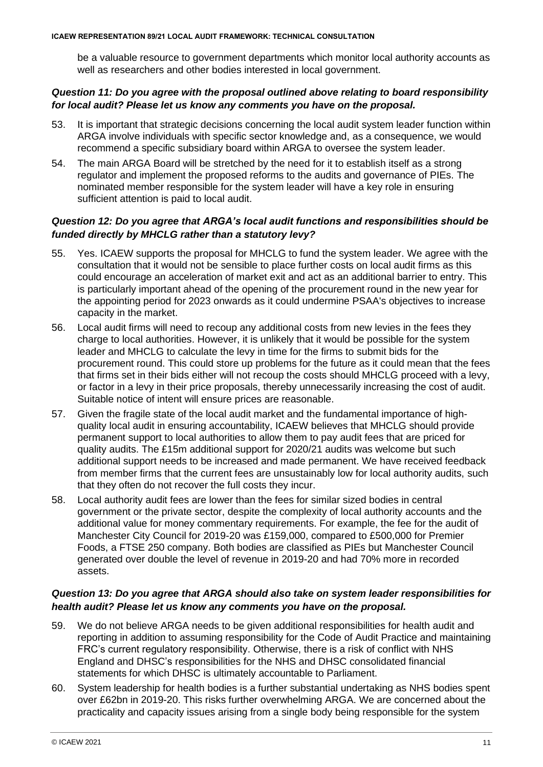be a valuable resource to government departments which monitor local authority accounts as well as researchers and other bodies interested in local government.

# *Question 11: Do you agree with the proposal outlined above relating to board responsibility for local audit? Please let us know any comments you have on the proposal.*

- 53. It is important that strategic decisions concerning the local audit system leader function within ARGA involve individuals with specific sector knowledge and, as a consequence, we would recommend a specific subsidiary board within ARGA to oversee the system leader.
- 54. The main ARGA Board will be stretched by the need for it to establish itself as a strong regulator and implement the proposed reforms to the audits and governance of PIEs. The nominated member responsible for the system leader will have a key role in ensuring sufficient attention is paid to local audit.

## *Question 12: Do you agree that ARGA's local audit functions and responsibilities should be funded directly by MHCLG rather than a statutory levy?*

- 55. Yes. ICAEW supports the proposal for MHCLG to fund the system leader. We agree with the consultation that it would not be sensible to place further costs on local audit firms as this could encourage an acceleration of market exit and act as an additional barrier to entry. This is particularly important ahead of the opening of the procurement round in the new year for the appointing period for 2023 onwards as it could undermine PSAA's objectives to increase capacity in the market.
- 56. Local audit firms will need to recoup any additional costs from new levies in the fees they charge to local authorities. However, it is unlikely that it would be possible for the system leader and MHCLG to calculate the levy in time for the firms to submit bids for the procurement round. This could store up problems for the future as it could mean that the fees that firms set in their bids either will not recoup the costs should MHCLG proceed with a levy, or factor in a levy in their price proposals, thereby unnecessarily increasing the cost of audit. Suitable notice of intent will ensure prices are reasonable.
- 57. Given the fragile state of the local audit market and the fundamental importance of highquality local audit in ensuring accountability, ICAEW believes that MHCLG should provide permanent support to local authorities to allow them to pay audit fees that are priced for quality audits. The £15m additional support for 2020/21 audits was welcome but such additional support needs to be increased and made permanent. We have received feedback from member firms that the current fees are unsustainably low for local authority audits, such that they often do not recover the full costs they incur.
- 58. Local authority audit fees are lower than the fees for similar sized bodies in central government or the private sector, despite the complexity of local authority accounts and the additional value for money commentary requirements. For example, the fee for the audit of Manchester City Council for 2019-20 was £159,000, compared to £500,000 for Premier Foods, a FTSE 250 company. Both bodies are classified as PIEs but Manchester Council generated over double the level of revenue in 2019-20 and had 70% more in recorded assets.

## *Question 13: Do you agree that ARGA should also take on system leader responsibilities for health audit? Please let us know any comments you have on the proposal.*

- 59. We do not believe ARGA needs to be given additional responsibilities for health audit and reporting in addition to assuming responsibility for the Code of Audit Practice and maintaining FRC's current regulatory responsibility. Otherwise, there is a risk of conflict with NHS England and DHSC's responsibilities for the NHS and DHSC consolidated financial statements for which DHSC is ultimately accountable to Parliament.
- 60. System leadership for health bodies is a further substantial undertaking as NHS bodies spent over £62bn in 2019-20. This risks further overwhelming ARGA. We are concerned about the practicality and capacity issues arising from a single body being responsible for the system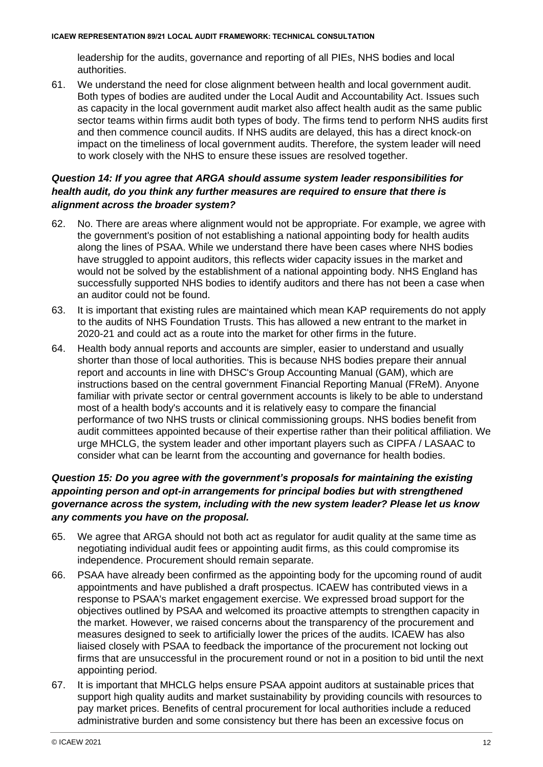leadership for the audits, governance and reporting of all PIEs, NHS bodies and local authorities.

61. We understand the need for close alignment between health and local government audit. Both types of bodies are audited under the Local Audit and Accountability Act. Issues such as capacity in the local government audit market also affect health audit as the same public sector teams within firms audit both types of body. The firms tend to perform NHS audits first and then commence council audits. If NHS audits are delayed, this has a direct knock-on impact on the timeliness of local government audits. Therefore, the system leader will need to work closely with the NHS to ensure these issues are resolved together.

# *Question 14: If you agree that ARGA should assume system leader responsibilities for health audit, do you think any further measures are required to ensure that there is alignment across the broader system?*

- 62. No. There are areas where alignment would not be appropriate. For example, we agree with the government's position of not establishing a national appointing body for health audits along the lines of PSAA. While we understand there have been cases where NHS bodies have struggled to appoint auditors, this reflects wider capacity issues in the market and would not be solved by the establishment of a national appointing body. NHS England has successfully supported NHS bodies to identify auditors and there has not been a case when an auditor could not be found.
- 63. It is important that existing rules are maintained which mean KAP requirements do not apply to the audits of NHS Foundation Trusts. This has allowed a new entrant to the market in 2020-21 and could act as a route into the market for other firms in the future.
- 64. Health body annual reports and accounts are simpler, easier to understand and usually shorter than those of local authorities. This is because NHS bodies prepare their annual report and accounts in line with DHSC's Group Accounting Manual (GAM), which are instructions based on the central government Financial Reporting Manual (FReM). Anyone familiar with private sector or central government accounts is likely to be able to understand most of a health body's accounts and it is relatively easy to compare the financial performance of two NHS trusts or clinical commissioning groups. NHS bodies benefit from audit committees appointed because of their expertise rather than their political affiliation. We urge MHCLG, the system leader and other important players such as CIPFA / LASAAC to consider what can be learnt from the accounting and governance for health bodies.

# *Question 15: Do you agree with the government's proposals for maintaining the existing appointing person and opt-in arrangements for principal bodies but with strengthened governance across the system, including with the new system leader? Please let us know any comments you have on the proposal.*

- 65. We agree that ARGA should not both act as regulator for audit quality at the same time as negotiating individual audit fees or appointing audit firms, as this could compromise its independence. Procurement should remain separate.
- 66. PSAA have already been confirmed as the appointing body for the upcoming round of audit appointments and have published a draft prospectus. ICAEW has contributed views in a response to PSAA's market engagement exercise. We expressed broad support for the objectives outlined by PSAA and welcomed its proactive attempts to strengthen capacity in the market. However, we raised concerns about the transparency of the procurement and measures designed to seek to artificially lower the prices of the audits. ICAEW has also liaised closely with PSAA to feedback the importance of the procurement not locking out firms that are unsuccessful in the procurement round or not in a position to bid until the next appointing period.
- 67. It is important that MHCLG helps ensure PSAA appoint auditors at sustainable prices that support high quality audits and market sustainability by providing councils with resources to pay market prices. Benefits of central procurement for local authorities include a reduced administrative burden and some consistency but there has been an excessive focus on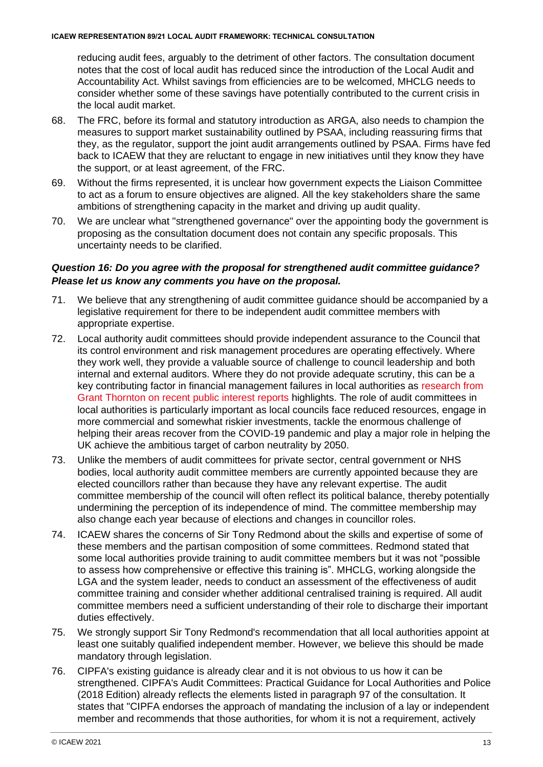reducing audit fees, arguably to the detriment of other factors. The consultation document notes that the cost of local audit has reduced since the introduction of the Local Audit and Accountability Act. Whilst savings from efficiencies are to be welcomed, MHCLG needs to consider whether some of these savings have potentially contributed to the current crisis in the local audit market.

- 68. The FRC, before its formal and statutory introduction as ARGA, also needs to champion the measures to support market sustainability outlined by PSAA, including reassuring firms that they, as the regulator, support the joint audit arrangements outlined by PSAA. Firms have fed back to ICAEW that they are reluctant to engage in new initiatives until they know they have the support, or at least agreement, of the FRC.
- 69. Without the firms represented, it is unclear how government expects the Liaison Committee to act as a forum to ensure objectives are aligned. All the key stakeholders share the same ambitions of strengthening capacity in the market and driving up audit quality.
- 70. We are unclear what "strengthened governance" over the appointing body the government is proposing as the consultation document does not contain any specific proposals. This uncertainty needs to be clarified.

# *Question 16: Do you agree with the proposal for strengthened audit committee guidance? Please let us know any comments you have on the proposal.*

- 71. We believe that any strengthening of audit committee guidance should be accompanied by a legislative requirement for there to be independent audit committee members with appropriate expertise.
- 72. Local authority audit committees should provide independent assurance to the Council that its control environment and risk management procedures are operating effectively. Where they work well, they provide a valuable source of challenge to council leadership and both internal and external auditors. Where they do not provide adequate scrutiny, this can be a key contributing factor in financial management failures in local authorities as [research from](https://www.icaew.com/insights/viewpoints-on-the-news/2021/mar-2021/local-government-governance-failures-provide-insights-for-councils-and-their-audit-committees)  [Grant Thornton on recent public interest reports](https://www.icaew.com/insights/viewpoints-on-the-news/2021/mar-2021/local-government-governance-failures-provide-insights-for-councils-and-their-audit-committees) highlights. The role of audit committees in local authorities is particularly important as local councils face reduced resources, engage in more commercial and somewhat riskier investments, tackle the enormous challenge of helping their areas recover from the COVID-19 pandemic and play a major role in helping the UK achieve the ambitious target of carbon neutrality by 2050.
- 73. Unlike the members of audit committees for private sector, central government or NHS bodies, local authority audit committee members are currently appointed because they are elected councillors rather than because they have any relevant expertise. The audit committee membership of the council will often reflect its political balance, thereby potentially undermining the perception of its independence of mind. The committee membership may also change each year because of elections and changes in councillor roles.
- 74. ICAEW shares the concerns of Sir Tony Redmond about the skills and expertise of some of these members and the partisan composition of some committees. Redmond stated that some local authorities provide training to audit committee members but it was not "possible to assess how comprehensive or effective this training is". MHCLG, working alongside the LGA and the system leader, needs to conduct an assessment of the effectiveness of audit committee training and consider whether additional centralised training is required. All audit committee members need a sufficient understanding of their role to discharge their important duties effectively.
- 75. We strongly support Sir Tony Redmond's recommendation that all local authorities appoint at least one suitably qualified independent member. However, we believe this should be made mandatory through legislation.
- 76. CIPFA's existing guidance is already clear and it is not obvious to us how it can be strengthened. CIPFA's Audit Committees: Practical Guidance for Local Authorities and Police (2018 Edition) already reflects the elements listed in paragraph 97 of the consultation. It states that "CIPFA endorses the approach of mandating the inclusion of a lay or independent member and recommends that those authorities, for whom it is not a requirement, actively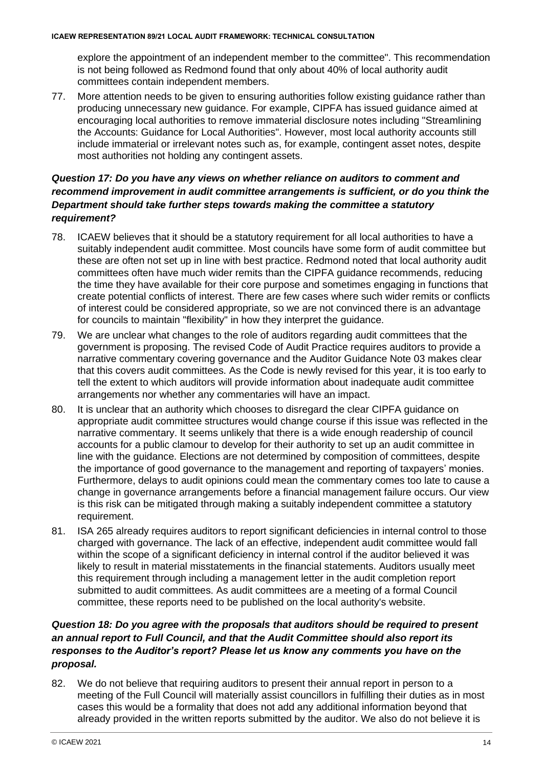explore the appointment of an independent member to the committee". This recommendation is not being followed as Redmond found that only about 40% of local authority audit committees contain independent members.

77. More attention needs to be given to ensuring authorities follow existing guidance rather than producing unnecessary new guidance. For example, CIPFA has issued guidance aimed at encouraging local authorities to remove immaterial disclosure notes including "Streamlining the Accounts: Guidance for Local Authorities". However, most local authority accounts still include immaterial or irrelevant notes such as, for example, contingent asset notes, despite most authorities not holding any contingent assets.

# *Question 17: Do you have any views on whether reliance on auditors to comment and recommend improvement in audit committee arrangements is sufficient, or do you think the Department should take further steps towards making the committee a statutory requirement?*

- 78. ICAEW believes that it should be a statutory requirement for all local authorities to have a suitably independent audit committee. Most councils have some form of audit committee but these are often not set up in line with best practice. Redmond noted that local authority audit committees often have much wider remits than the CIPFA guidance recommends, reducing the time they have available for their core purpose and sometimes engaging in functions that create potential conflicts of interest. There are few cases where such wider remits or conflicts of interest could be considered appropriate, so we are not convinced there is an advantage for councils to maintain "flexibility" in how they interpret the guidance.
- 79. We are unclear what changes to the role of auditors regarding audit committees that the government is proposing. The revised Code of Audit Practice requires auditors to provide a narrative commentary covering governance and the Auditor Guidance Note 03 makes clear that this covers audit committees. As the Code is newly revised for this year, it is too early to tell the extent to which auditors will provide information about inadequate audit committee arrangements nor whether any commentaries will have an impact.
- 80. It is unclear that an authority which chooses to disregard the clear CIPFA guidance on appropriate audit committee structures would change course if this issue was reflected in the narrative commentary. It seems unlikely that there is a wide enough readership of council accounts for a public clamour to develop for their authority to set up an audit committee in line with the guidance. Elections are not determined by composition of committees, despite the importance of good governance to the management and reporting of taxpayers' monies. Furthermore, delays to audit opinions could mean the commentary comes too late to cause a change in governance arrangements before a financial management failure occurs. Our view is this risk can be mitigated through making a suitably independent committee a statutory requirement.
- 81. ISA 265 already requires auditors to report significant deficiencies in internal control to those charged with governance. The lack of an effective, independent audit committee would fall within the scope of a significant deficiency in internal control if the auditor believed it was likely to result in material misstatements in the financial statements. Auditors usually meet this requirement through including a management letter in the audit completion report submitted to audit committees. As audit committees are a meeting of a formal Council committee, these reports need to be published on the local authority's website.

# *Question 18: Do you agree with the proposals that auditors should be required to present an annual report to Full Council, and that the Audit Committee should also report its responses to the Auditor's report? Please let us know any comments you have on the proposal.*

82. We do not believe that requiring auditors to present their annual report in person to a meeting of the Full Council will materially assist councillors in fulfilling their duties as in most cases this would be a formality that does not add any additional information beyond that already provided in the written reports submitted by the auditor. We also do not believe it is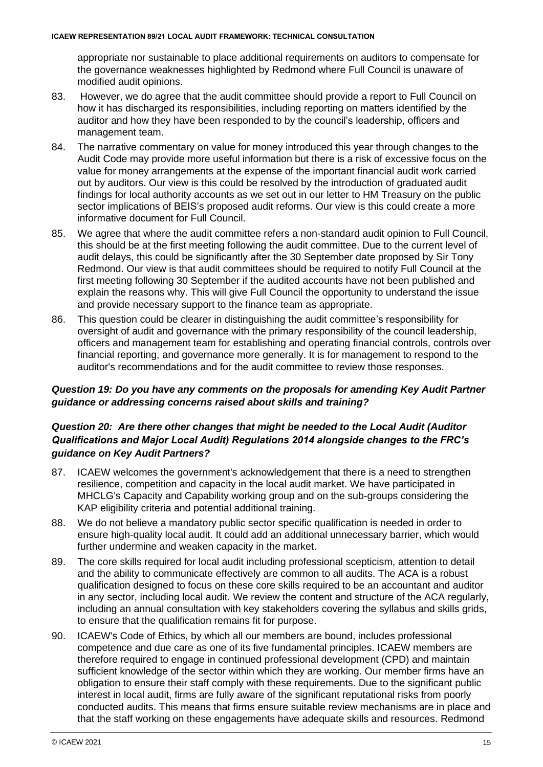appropriate nor sustainable to place additional requirements on auditors to compensate for the governance weaknesses highlighted by Redmond where Full Council is unaware of modified audit opinions.

- 83. However, we do agree that the audit committee should provide a report to Full Council on how it has discharged its responsibilities, including reporting on matters identified by the auditor and how they have been responded to by the council's leadership, officers and management team.
- 84. The narrative commentary on value for money introduced this year through changes to the Audit Code may provide more useful information but there is a risk of excessive focus on the value for money arrangements at the expense of the important financial audit work carried out by auditors. Our view is this could be resolved by the introduction of graduated audit findings for local authority accounts as we set out in our letter to HM Treasury on the public sector implications of BEIS's proposed audit reforms. Our view is this could create a more informative document for Full Council.
- 85. We agree that where the audit committee refers a non-standard audit opinion to Full Council, this should be at the first meeting following the audit committee. Due to the current level of audit delays, this could be significantly after the 30 September date proposed by Sir Tony Redmond. Our view is that audit committees should be required to notify Full Council at the first meeting following 30 September if the audited accounts have not been published and explain the reasons why. This will give Full Council the opportunity to understand the issue and provide necessary support to the finance team as appropriate.
- 86. This question could be clearer in distinguishing the audit committee's responsibility for oversight of audit and governance with the primary responsibility of the council leadership, officers and management team for establishing and operating financial controls, controls over financial reporting, and governance more generally. It is for management to respond to the auditor's recommendations and for the audit committee to review those responses.

# *Question 19: Do you have any comments on the proposals for amending Key Audit Partner guidance or addressing concerns raised about skills and training?*

# *Question 20: Are there other changes that might be needed to the Local Audit (Auditor Qualifications and Major Local Audit) Regulations 2014 alongside changes to the FRC's guidance on Key Audit Partners?*

- 87. ICAEW welcomes the government's acknowledgement that there is a need to strengthen resilience, competition and capacity in the local audit market. We have participated in MHCLG's Capacity and Capability working group and on the sub-groups considering the KAP eligibility criteria and potential additional training.
- 88. We do not believe a mandatory public sector specific qualification is needed in order to ensure high-quality local audit. It could add an additional unnecessary barrier, which would further undermine and weaken capacity in the market.
- 89. The core skills required for local audit including professional scepticism, attention to detail and the ability to communicate effectively are common to all audits. The ACA is a robust qualification designed to focus on these core skills required to be an accountant and auditor in any sector, including local audit. We review the content and structure of the ACA regularly, including an annual consultation with key stakeholders covering the syllabus and skills grids, to ensure that the qualification remains fit for purpose.
- 90. ICAEW's Code of Ethics, by which all our members are bound, includes professional competence and due care as one of its five fundamental principles. ICAEW members are therefore required to engage in continued professional development (CPD) and maintain sufficient knowledge of the sector within which they are working. Our member firms have an obligation to ensure their staff comply with these requirements. Due to the significant public interest in local audit, firms are fully aware of the significant reputational risks from poorly conducted audits. This means that firms ensure suitable review mechanisms are in place and that the staff working on these engagements have adequate skills and resources. Redmond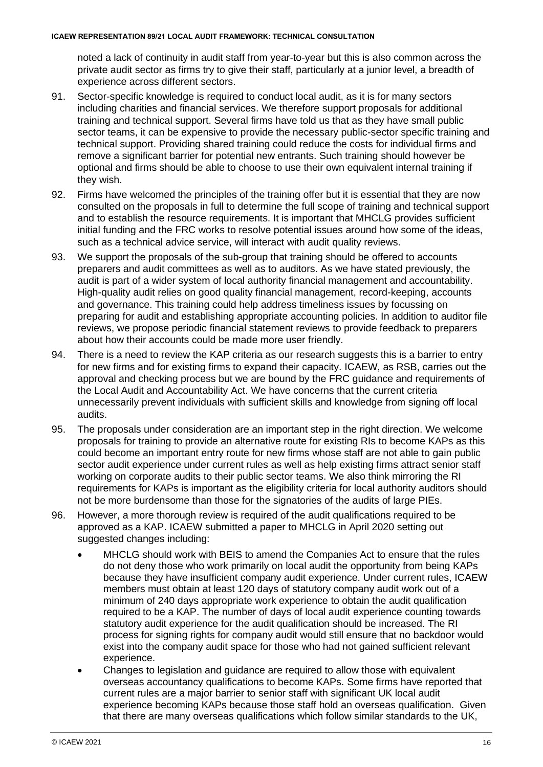noted a lack of continuity in audit staff from year-to-year but this is also common across the private audit sector as firms try to give their staff, particularly at a junior level, a breadth of experience across different sectors.

- 91. Sector-specific knowledge is required to conduct local audit, as it is for many sectors including charities and financial services. We therefore support proposals for additional training and technical support. Several firms have told us that as they have small public sector teams, it can be expensive to provide the necessary public-sector specific training and technical support. Providing shared training could reduce the costs for individual firms and remove a significant barrier for potential new entrants. Such training should however be optional and firms should be able to choose to use their own equivalent internal training if they wish.
- 92. Firms have welcomed the principles of the training offer but it is essential that they are now consulted on the proposals in full to determine the full scope of training and technical support and to establish the resource requirements. It is important that MHCLG provides sufficient initial funding and the FRC works to resolve potential issues around how some of the ideas, such as a technical advice service, will interact with audit quality reviews.
- 93. We support the proposals of the sub-group that training should be offered to accounts preparers and audit committees as well as to auditors. As we have stated previously, the audit is part of a wider system of local authority financial management and accountability. High-quality audit relies on good quality financial management, record-keeping, accounts and governance. This training could help address timeliness issues by focussing on preparing for audit and establishing appropriate accounting policies. In addition to auditor file reviews, we propose periodic financial statement reviews to provide feedback to preparers about how their accounts could be made more user friendly.
- 94. There is a need to review the KAP criteria as our research suggests this is a barrier to entry for new firms and for existing firms to expand their capacity. ICAEW, as RSB, carries out the approval and checking process but we are bound by the FRC guidance and requirements of the Local Audit and Accountability Act. We have concerns that the current criteria unnecessarily prevent individuals with sufficient skills and knowledge from signing off local audits.
- 95. The proposals under consideration are an important step in the right direction. We welcome proposals for training to provide an alternative route for existing RIs to become KAPs as this could become an important entry route for new firms whose staff are not able to gain public sector audit experience under current rules as well as help existing firms attract senior staff working on corporate audits to their public sector teams. We also think mirroring the RI requirements for KAPs is important as the eligibility criteria for local authority auditors should not be more burdensome than those for the signatories of the audits of large PIEs.
- 96. However, a more thorough review is required of the audit qualifications required to be approved as a KAP. ICAEW submitted a paper to MHCLG in April 2020 setting out suggested changes including:
	- MHCLG should work with BEIS to amend the Companies Act to ensure that the rules do not deny those who work primarily on local audit the opportunity from being KAPs because they have insufficient company audit experience. Under current rules, ICAEW members must obtain at least 120 days of statutory company audit work out of a minimum of 240 days appropriate work experience to obtain the audit qualification required to be a KAP. The number of days of local audit experience counting towards statutory audit experience for the audit qualification should be increased. The RI process for signing rights for company audit would still ensure that no backdoor would exist into the company audit space for those who had not gained sufficient relevant experience.
	- Changes to legislation and guidance are required to allow those with equivalent overseas accountancy qualifications to become KAPs. Some firms have reported that current rules are a major barrier to senior staff with significant UK local audit experience becoming KAPs because those staff hold an overseas qualification. Given that there are many overseas qualifications which follow similar standards to the UK,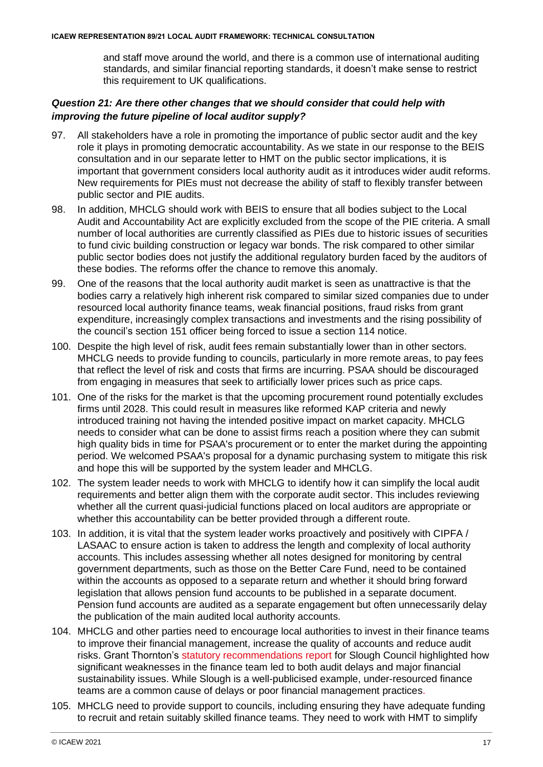and staff move around the world, and there is a common use of international auditing standards, and similar financial reporting standards, it doesn't make sense to restrict this requirement to UK qualifications.

# *Question 21: Are there other changes that we should consider that could help with improving the future pipeline of local auditor supply?*

- 97. All stakeholders have a role in promoting the importance of public sector audit and the key role it plays in promoting democratic accountability. As we state in our response to the BEIS consultation and in our separate letter to HMT on the public sector implications, it is important that government considers local authority audit as it introduces wider audit reforms. New requirements for PIEs must not decrease the ability of staff to flexibly transfer between public sector and PIE audits.
- 98. In addition, MHCLG should work with BEIS to ensure that all bodies subject to the Local Audit and Accountability Act are explicitly excluded from the scope of the PIE criteria. A small number of local authorities are currently classified as PIEs due to historic issues of securities to fund civic building construction or legacy war bonds. The risk compared to other similar public sector bodies does not justify the additional regulatory burden faced by the auditors of these bodies. The reforms offer the chance to remove this anomaly.
- 99. One of the reasons that the local authority audit market is seen as unattractive is that the bodies carry a relatively high inherent risk compared to similar sized companies due to under resourced local authority finance teams, weak financial positions, fraud risks from grant expenditure, increasingly complex transactions and investments and the rising possibility of the council's section 151 officer being forced to issue a section 114 notice.
- 100. Despite the high level of risk, audit fees remain substantially lower than in other sectors. MHCLG needs to provide funding to councils, particularly in more remote areas, to pay fees that reflect the level of risk and costs that firms are incurring. PSAA should be discouraged from engaging in measures that seek to artificially lower prices such as price caps.
- 101. One of the risks for the market is that the upcoming procurement round potentially excludes firms until 2028. This could result in measures like reformed KAP criteria and newly introduced training not having the intended positive impact on market capacity. MHCLG needs to consider what can be done to assist firms reach a position where they can submit high quality bids in time for PSAA's procurement or to enter the market during the appointing period. We welcomed PSAA's proposal for a dynamic purchasing system to mitigate this risk and hope this will be supported by the system leader and MHCLG.
- 102. The system leader needs to work with MHCLG to identify how it can simplify the local audit requirements and better align them with the corporate audit sector. This includes reviewing whether all the current quasi-judicial functions placed on local auditors are appropriate or whether this accountability can be better provided through a different route.
- 103. In addition, it is vital that the system leader works proactively and positively with CIPFA / LASAAC to ensure action is taken to address the length and complexity of local authority accounts. This includes assessing whether all notes designed for monitoring by central government departments, such as those on the Better Care Fund, need to be contained within the accounts as opposed to a separate return and whether it should bring forward legislation that allows pension fund accounts to be published in a separate document. Pension fund accounts are audited as a separate engagement but often unnecessarily delay the publication of the main audited local authority accounts.
- 104. MHCLG and other parties need to encourage local authorities to invest in their finance teams to improve their financial management, increase the quality of accounts and reduce audit risks. Grant Thornton's [statutory recommendations report](https://democracy.slough.gov.uk/documents/s63970/Grant%20Thornton%20-%20S24%20statutory%20recommendations.pdf) for Slough Council highlighted how significant weaknesses in the finance team led to both audit delays and major financial sustainability issues. While Slough is a well-publicised example, under-resourced finance teams are a common cause of delays or poor financial management practices.
- 105. MHCLG need to provide support to councils, including ensuring they have adequate funding to recruit and retain suitably skilled finance teams. They need to work with HMT to simplify